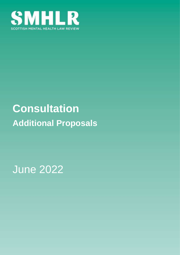

# **Consultation Additional Proposals**

June 2022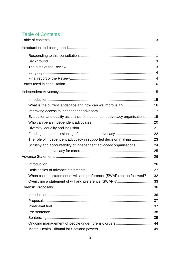# <span id="page-1-0"></span>**Table of Contents**

| What is the current landscape and how can we improve it ? 16               |  |
|----------------------------------------------------------------------------|--|
|                                                                            |  |
| Evaluation and quality assurance of independent advocacy organisations  19 |  |
|                                                                            |  |
|                                                                            |  |
|                                                                            |  |
| The role of independent advocacy in supported decision making  23          |  |
| Scrutiny and accountability of independent advocacy organisations  24      |  |
|                                                                            |  |
|                                                                            |  |
|                                                                            |  |
|                                                                            |  |
| When could a 'statement of will and preference' (SWAP) not be followed? 32 |  |
|                                                                            |  |
|                                                                            |  |
|                                                                            |  |
|                                                                            |  |
|                                                                            |  |
|                                                                            |  |
|                                                                            |  |
|                                                                            |  |
|                                                                            |  |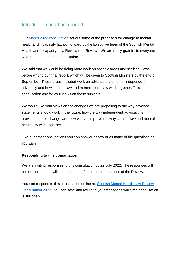# <span id="page-3-0"></span>Introduction and background

Our [March 2022 consultation](https://www.mentalhealthlawreview.scot/workstreams/scottish-mental-health-law-review-consultation/) set out some of the proposals for change to mental health and incapacity law put forward by the Executive team of the Scottish Mental Health and Incapacity Law Review (the Review). We are really grateful to everyone who responded to that consultation.

We said that we would be doing more work on specific areas and seeking views, before writing our final report, which will be given to Scottish Ministers by the end of September. These areas included work on advance statements, independent advocacy and how criminal law and mental health law work together. This consultation ask for your views on these subjects.

We would like your views on the changes we are proposing to the way advance statements should work in the future, how the way independent advocacy is provided should change, and how we can improve the way criminal law and mental health law work together.

Like our other consultations you can answer as few or as many of the questions as you wish.

#### <span id="page-3-1"></span>**Responding to this consultation**

We are inviting responses to this consultation by 22 July 2022. The responses will be considered and will help inform the final recommendations of the Review.

You can respond to this consultation online at: [Scottish Mental Health Law Review](https://consult.gov.scot/mental-health-law-secretariat/forensic-proposals/start_preview?token=6010b9e6066ec34a13de6ed89398c18733df8abf)  [Consultation 2022.](https://consult.gov.scot/mental-health-law-secretariat/forensic-proposals/start_preview?token=6010b9e6066ec34a13de6ed89398c18733df8abf) You can save and return to your responses while the consultation is still open.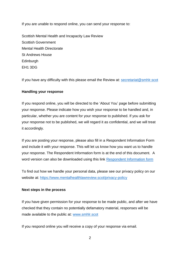If you are unable to respond online, you can send your response to:

Scottish Mental Health and Incapacity Law Review Scottish Government Mental Health Directorate St Andrews House **Edinburgh** EH1 3DG

If you have any difficulty with this please email the Review at: [secretariat@smhlr.scot](mailto:secretariat@smhlr.scot)

#### **Handling your response**

If you respond online, you will be directed to the 'About You' page before submitting your response. Please indicate how you wish your response to be handled and, in particular, whether you are content for your response to published. If you ask for your response not to be published, we will regard it as confidential, and we will treat it accordingly.

If you are posting your response, please also fill in a Respondent Information Form and include it with your response. This will let us know how you want us to handle your response. The Respondent Information form is at the end of this document. A word version can also be downloaded using this link [Respondent Information form](https://cms.mentalhealthlawreview.scot/wp-content/uploads/2022/03/SMHLR-Respondent-information-form.doc)

To find out how we handle your personal data, please see our privacy policy on our website at: <https://www.mentalhealthlawreview.scot/privacy-policy>

#### **Next steps in the process**

If you have given permission for your response to be made public, and after we have checked that they contain no potentially defamatory material, responses will be made available to the public at: [www.smhlr.scot](http://www.smhlr.scot/)

If you respond online you will receive a copy of your response via email.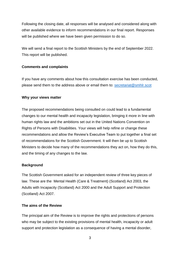Following the closing date, all responses will be analysed and considered along with other available evidence to inform recommendations in our final report. Responses will be published where we have been given permission to do so.

We will send a final report to the Scottish Ministers by the end of September 2022. This report will be published.

#### **Comments and complaints**

If you have any comments about how this consultation exercise has been conducted, please send them to the address above or email them to: [secretariat@smhlr.scot](mailto:secretariat@smhlr.scot) 

#### **Why your views matter**

The proposed recommendations being consulted on could lead to a fundamental changes to our mental health and incapacity legislation, bringing it more in line with human rights law and the ambitions set out in the United Nations Convention on Rights of Persons with Disabilities. Your views will help refine or change these recommendations and allow the Review's Executive Team to put together a final set of recommendations for the Scottish Government. It will then be up to Scottish Ministers to decide how many of the recommendations they act on, how they do this, and the timing of any changes to the law.

#### <span id="page-5-0"></span>**Background**

The Scottish Government asked for an independent review of three key pieces of law. These are the Mental Health (Care & Treatment) (Scotland) Act 2003, the Adults with Incapacity (Scotland) Act 2000 and the Adult Support and Protection (Scotland) Act 2007.

#### <span id="page-5-1"></span>**The aims of the Review**

The principal aim of the Review is to improve the rights and protections of persons who may be subject to the existing provisions of mental health, incapacity or adult support and protection legislation as a consequence of having a mental disorder,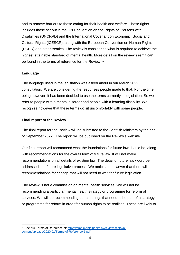and to remove barriers to those caring for their health and welfare. These rights includes those set out in the UN Convention on the Rights of Persons with Disabilities (UNCRPD) and the International Covenant on Economic, Social and Cultural Rights (ICESCR), along with the European Convention on Human Rights (ECHR) and other treaties. The review is considering what is required to achieve the highest attainable standard of mental health. More detail on the review's remit can be found in the terms of reference for the Review.<sup>1</sup>

#### <span id="page-6-0"></span>**Language**

The language used in the legislation was asked about in our March 2022 consultation. We are considering the responses people made to that. For the time being however, it has been decided to use the terms currently in legislation. So we refer to people with a mental disorder and people with a learning disability. We recognise however that these terms do sit uncomfortably with some people.

#### <span id="page-6-1"></span>**Final report of the Review**

The final report for the Review will be submitted to the Scottish Ministers by the end of September 2022. The report will be published on the Review's website.

Our final report will recommend what the foundations for future law should be, along with recommendations for the overall form of future law. It will not make recommendations on all details of existing law. The detail of future law would be addressed in a future legislative process. We anticipate however that there will be recommendations for change that will not need to wait for future legislation.

The review is not a commission on mental health services. We will not be recommending a particular mental health strategy or programme for reform of services. We will be recommending certain things that need to be part of a strategy or programme for reform in order for human rights to be realised. These are likely to

<sup>1</sup> <sup>1</sup> See our Terms of Reference at: [https://cms.mentalhealthlawreview.scot/wp](https://cms.mentalhealthlawreview.scot/wp-content/uploads/2020/01/Terms-of-Reference-1.pdf)[content/uploads/2020/01/Terms-of-Reference-1.pdf](https://cms.mentalhealthlawreview.scot/wp-content/uploads/2020/01/Terms-of-Reference-1.pdf)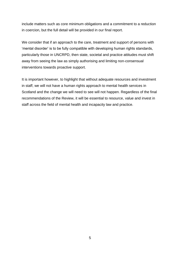include matters such as core minimum obligations and a commitment to a reduction in coercion, but the full detail will be provided in our final report.

We consider that if an approach to the care, treatment and support of persons with 'mental disorder' is to be fully compatible with developing human rights standards, particularly those in UNCRPD, then state, societal and practice attitudes must shift away from seeing the law as simply authorising and limiting non-consensual interventions towards proactive support.

It is important however, to highlight that without adequate resources and investment in staff, we will not have a human rights approach to mental health services in Scotland and the change we will need to see will not happen. Regardless of the final recommendations of the Review, it will be essential to resource, value and invest in staff across the field of mental health and incapacity law and practice.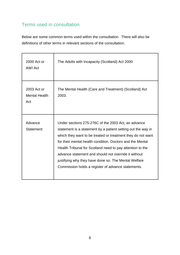# <span id="page-8-0"></span>Terms used in consultation

Below are some common terms used within the consultation. There will also be definitions of other terms in relevant sections of the consultation.

| 2000 Act or<br><b>AWI Act</b>              | The Adults with Incapacity (Scotland) Act 2000                                                                                                                                                                                                                                                                                                                                                                                                                                     |
|--------------------------------------------|------------------------------------------------------------------------------------------------------------------------------------------------------------------------------------------------------------------------------------------------------------------------------------------------------------------------------------------------------------------------------------------------------------------------------------------------------------------------------------|
| 2003 Act or<br><b>Mental Health</b><br>Act | The Mental Health (Care and Treatment) (Scotland) Act<br>2003.                                                                                                                                                                                                                                                                                                                                                                                                                     |
| Advance<br><b>Statement</b>                | Under sections 275-276C of the 2003 Act, an advance<br>statement is a statement by a patient setting out the way in<br>which they want to be treated or treatment they do not want<br>for their mental health condition. Doctors and the Mental<br>Health Tribunal for Scotland need to pay attention to the<br>advance statement and should not override it without<br>justifying why they have done so. The Mental Welfare<br>Commission holds a register of advance statements. |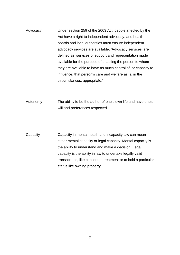| Advocacy | Under section 259 of the 2003 Act, people affected by the<br>Act have a right to independent advocacy, and health<br>boards and local authorities must ensure independent<br>advocacy services are available. 'Advocacy services' are<br>defined as 'services of support and representation made<br>available for the purpose of enabling the person to whom<br>they are available to have as much control of, or capacity to<br>influence, that person's care and welfare as is, in the<br>circumstances, appropriate.' |
|----------|--------------------------------------------------------------------------------------------------------------------------------------------------------------------------------------------------------------------------------------------------------------------------------------------------------------------------------------------------------------------------------------------------------------------------------------------------------------------------------------------------------------------------|
| Autonomy | The ability to be the author of one's own life and have one's<br>will and preferences respected.                                                                                                                                                                                                                                                                                                                                                                                                                         |
| Capacity | Capacity in mental health and incapacity law can mean<br>either mental capacity or legal capacity. Mental capacity is<br>the ability to understand and make a decision. Legal<br>capacity is the ability in law to undertake legally valid<br>transactions, like consent to treatment or to hold a particular<br>status like owning property.                                                                                                                                                                            |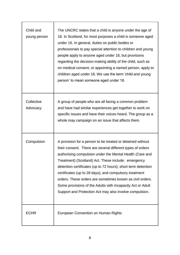| Child and<br>young person | The UNCRC states that a child is anyone under the age of<br>18. In Scotland, for most purposes a child is someone aged<br>under 16. In general, duties on public bodies or<br>professionals to pay special attention to children and young<br>people apply to anyone aged under 18, but provisions<br>regarding the decision-making ability of the child, such as<br>on medical consent, or appointing a named person, apply to<br>children aged under 16. We use the term 'child and young<br>person' to mean someone aged under 18.                        |
|---------------------------|--------------------------------------------------------------------------------------------------------------------------------------------------------------------------------------------------------------------------------------------------------------------------------------------------------------------------------------------------------------------------------------------------------------------------------------------------------------------------------------------------------------------------------------------------------------|
| Collective<br>Advocacy    | A group of people who are all facing a common problem<br>and have had similar experiences get together to work on<br>specific issues and have their voices heard. The group as a<br>whole may campaign on an issue that affects them.                                                                                                                                                                                                                                                                                                                        |
| Compulsion                | A provision for a person to be treated or detained without<br>their consent. There are several different types of orders<br>authorising compulsion under the Mental Health (Care and<br>Treatment) (Scotland) Act. These include: emergency<br>detention certificates (up to 72 hours); short term detention<br>certificates (up to 28 days); and compulsory treatment<br>orders. These orders are sometimes known as civil orders.<br>Some provisions of the Adults with Incapacity Act or Adult<br>Support and Protection Act may also involve compulsion. |
| <b>ECHR</b>               | European Convention on Human Rights                                                                                                                                                                                                                                                                                                                                                                                                                                                                                                                          |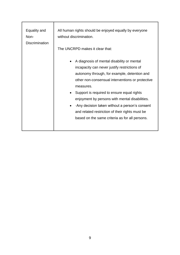| Equality and          | All human rights should be enjoyed equally by everyone                                                                                                                                                                                                                                                                                                                                                                                                                                                   |
|-----------------------|----------------------------------------------------------------------------------------------------------------------------------------------------------------------------------------------------------------------------------------------------------------------------------------------------------------------------------------------------------------------------------------------------------------------------------------------------------------------------------------------------------|
| Non-                  | without discrimination.                                                                                                                                                                                                                                                                                                                                                                                                                                                                                  |
| <b>Discrimination</b> | The UNCRPD makes it clear that:                                                                                                                                                                                                                                                                                                                                                                                                                                                                          |
|                       | A diagnosis of mental disability or mental<br>$\bullet$<br>incapacity can never justify restrictions of<br>autonomy through, for example, detention and<br>other non-consensual interventions or protective<br>measures.<br>Support is required to ensure equal rights<br>$\bullet$<br>enjoyment by persons with mental disabilities.<br>Any decision taken without a person's consent<br>$\bullet$<br>and related restriction of their rights must be<br>based on the same criteria as for all persons. |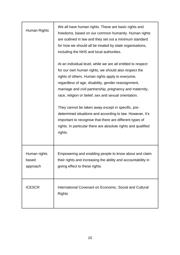| Human Rights                      | We all have human rights. These are basic rights and<br>freedoms, based on our common humanity. Human rights<br>are outlined in law and they set out a minimum standard<br>for how we should all be treated by state organisations,<br>including the NHS and local authorities.                                                                       |
|-----------------------------------|-------------------------------------------------------------------------------------------------------------------------------------------------------------------------------------------------------------------------------------------------------------------------------------------------------------------------------------------------------|
|                                   | At an individual level, while we are all entitled to respect<br>for our own human rights, we should also respect the<br>rights of others. Human rights apply to everyone,<br>regardless of age, disability, gender reassignment,<br>marriage and civil partnership, pregnancy and maternity,<br>race, religion or belief, sex and sexual orientation. |
|                                   | They cannot be taken away except in specific, pre-<br>determined situations and according to law. However, it's<br>important to recognise that there are different types of<br>rights. In particular there are absolute rights and qualified<br>rights.                                                                                               |
| Human rights<br>based<br>approach | Empowering and enabling people to know about and claim<br>their rights and increasing the ability and accountability in<br>giving effect to these rights.                                                                                                                                                                                             |
| <b>ICESCR</b>                     | International Covenant on Economic, Social and Cultural<br><b>Rights</b>                                                                                                                                                                                                                                                                              |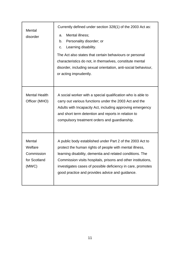| Mental<br>disorder                                       | Currently defined under section 328(1) of the 2003 Act as:<br>Mental illness;<br>a.<br>Personality disorder; or<br>b.<br>Learning disability.<br>C.<br>The Act also states that certain behaviours or personal<br>characteristics do not, in themselves, constitute mental<br>disorder, including sexual orientation, anti-social behaviour,<br>or acting imprudently. |
|----------------------------------------------------------|------------------------------------------------------------------------------------------------------------------------------------------------------------------------------------------------------------------------------------------------------------------------------------------------------------------------------------------------------------------------|
| <b>Mental Health</b><br>Officer (MHO)                    | A social worker with a special qualification who is able to<br>carry out various functions under the 2003 Act and the<br>Adults with Incapacity Act, including approving emergency<br>and short term detention and reports in relation to<br>compulsory treatment orders and guardianship.                                                                             |
| Mental<br>Welfare<br>Commission<br>for Scotland<br>(MWC) | A public body established under Part 2 of the 2003 Act to<br>protect the human rights of people with mental illness,<br>learning disability, dementia and related conditions. The<br>Commission visits hospitals, prisons and other institutions,<br>investigates cases of possible deficiency in care, promotes<br>good practice and provides advice and guidance.    |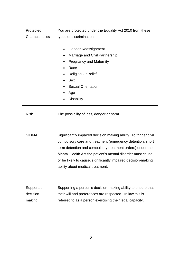| Protected<br>Characteristics    | You are protected under the Equality Act 2010 from these<br>types of discrimination:<br><b>Gender Reassignment</b><br>$\bullet$                                                                                                                                                                                                                                |
|---------------------------------|----------------------------------------------------------------------------------------------------------------------------------------------------------------------------------------------------------------------------------------------------------------------------------------------------------------------------------------------------------------|
|                                 | Marriage and Civil Partnership<br>$\bullet$<br><b>Pregnancy and Maternity</b><br>Race                                                                                                                                                                                                                                                                          |
|                                 | <b>Religion Or Belief</b><br>$\bullet$<br><b>Sex</b><br><b>Sexual Orientation</b><br>Age<br><b>Disability</b>                                                                                                                                                                                                                                                  |
| <b>Risk</b>                     | The possibility of loss, danger or harm.                                                                                                                                                                                                                                                                                                                       |
| <b>SIDMA</b>                    | Significantly impaired decision making ability. To trigger civil<br>compulsory care and treatment (emergency detention, short<br>term detention and compulsory treatment orders) under the<br>Mental Health Act the patient's mental disorder must cause,<br>or be likely to cause, significantly impaired decision-making<br>ability about medical treatment. |
| Supported<br>decision<br>making | Supporting a person's decision-making ability to ensure that<br>their will and preferences are respected. In law this is<br>referred to as a person exercising their legal capacity.                                                                                                                                                                           |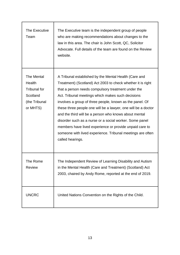| The Executive<br>Team                                                                | The Executive team is the independent group of people<br>who are making recommendations about changes to the<br>law in this area. The chair is John Scott, QC, Solicitor<br>Advocate. Full details of the team are found on the Review<br>website.                                                                                                                                                                                                                                                                                                                                                                            |
|--------------------------------------------------------------------------------------|-------------------------------------------------------------------------------------------------------------------------------------------------------------------------------------------------------------------------------------------------------------------------------------------------------------------------------------------------------------------------------------------------------------------------------------------------------------------------------------------------------------------------------------------------------------------------------------------------------------------------------|
| The Mental<br>Health<br><b>Tribunal for</b><br>Scotland<br>(the Tribunal<br>or MHTS) | A Tribunal established by the Mental Health (Care and<br>Treatment) (Scotland) Act 2003 to check whether it is right<br>that a person needs compulsory treatment under the<br>Act. Tribunal meetings which makes such decisions<br>involves a group of three people, known as the panel. Of<br>these three people one will be a lawyer, one will be a doctor<br>and the third will be a person who knows about mental<br>disorder such as a nurse or a social worker. Some panel<br>members have lived experience or provide unpaid care to<br>someone with lived experience. Tribunal meetings are often<br>called hearings. |
| The Rome<br><b>Review</b>                                                            | The Independent Review of Learning Disability and Autism<br>in the Mental Health (Care and Treatment) (Scotland) Act<br>2003, chaired by Andy Rome, reported at the end of 2019.                                                                                                                                                                                                                                                                                                                                                                                                                                              |
| <b>UNCRC</b>                                                                         | United Nations Convention on the Rights of the Child.                                                                                                                                                                                                                                                                                                                                                                                                                                                                                                                                                                         |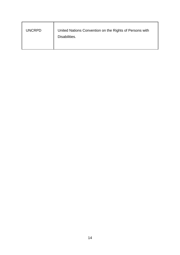| <b>UNCRPD</b> | United Nations Convention on the Rights of Persons with |
|---------------|---------------------------------------------------------|
|               | Disabilities.                                           |
|               |                                                         |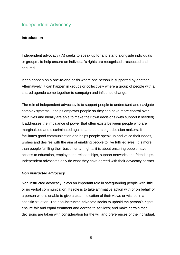# <span id="page-17-0"></span>Independent Advocacy

#### <span id="page-17-1"></span>**Introduction**

Independent advocacy (IA) seeks to speak up for and stand alongside individuals or groups , to help ensure an individual's rights are recognised , respected and secured.

It can happen on a one-to-one basis where one person is supported by another. Alternatively, it can happen in groups or collectively where a group of people with a shared agenda come together to campaign and influence change.

The role of independent advocacy is to support people to understand and navigate complex systems. It helps empower people so they can have more control over their lives and ideally are able to make their own decisions (with support if needed). It addresses the imbalance of power that often exists between people who are marginalised and discriminated against and others e.g., decision makers. It facilitates good communication and helps people speak up and voice their needs, wishes and desires with the aim of enabling people to live fulfilled lives. It is more than people fulfilling their basic human rights, it is about ensuring people have access to education, employment, relationships, support networks and friendships. Independent advocates only do what they have agreed with their advocacy partner.

#### *Non instructed advocacy*

Non instructed advocacy plays an important role in safeguarding people with little or no verbal communication. Its role is to take affirmative action with or on behalf of a person who is unable to give a clear indication of their views or wishes in a specific situation. The non-instructed advocate seeks to uphold the person's rights; ensure fair and equal treatment and access to services; and make certain that decisions are taken with consideration for the will and preferences of the individual.

15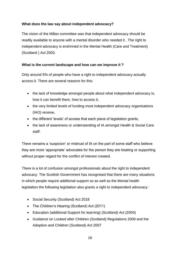# **What does the law say about independent advocacy?**

The vision of the Millan committee was that independent advocacy should be readily available to anyone with a mental disorder who needed it . The right to independent advocacy is enshrined in the Mental Health (Care and Treatment) (Scotland ) Act 2003.

### <span id="page-18-0"></span>**What is the current landscape and how can we improve it ?**

Only around 5% of people who have a right to independent advocacy actually access it. There are several reasons for this:

- the lack of knowledge amongst people about what independent advocacy is, how it can benefit them, how to access it,
- the very limited levels of funding most independent advocacy organisations (IAO) receive,
- the different 'levels' of access that each piece of legislation grants,
- the lack of awareness or understanding of IA amongst Health & Social Care staff.

There remains a 'suspicion' or mistrust of IA on the part of some staff who believe they are more 'appropriate' advocates for the person they are treating or supporting without proper regard for the conflict of interest created.

There is a lot of confusion amongst professionals about the right to independent advocacy. The Scottish Government has recognised that there are many situations in which people require additional support so as well as the Mental health legislation the following legislation also grants a right to independent advocacy:

- Social Security (Scotland) Act 2018
- The Children's Hearing (Scotland) Act (2011)
- Education (additional Support for learning) (Scotland) Act (2004)
- Guidance on Looked after Children (Scotland) Regulations 2009 and the Adoption and Children (Scotland) Act 2007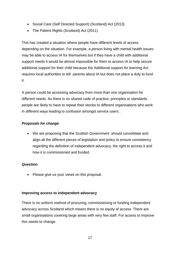- Social Care (Self Directed Support) (Scotland) Act (2013)
- The Patient Rights (Scotland) Act (2011)

This has created a situation where people have different levels of access depending on the situation. For example, a person living with mental health issues may be able to access IA for themselves but if they have a child with additional support needs it would be almost impossible for them to access IA to help secure additional support for their child because the Additional support for learning Act requires local authorities to tell parents about IA but does not place a duty to fund it.

A person could be accessing advocacy from more than one organisation for different needs. As there is no shared code of practice, principles or standards people are likely to have to repeat their stories to different organisations who work in different ways leading to confusion amongst service users .

# *Proposals for change*

 We are proposing that the Scottish Government should consolidate and align all the different pieces of legislation and policy to ensure consistency regarding the definition of independent advocacy, the right to access it and how it is commissioned and funded.

#### *Question*

• Please give us your views on this proposal.

#### <span id="page-19-0"></span>**Improving access to independent advocacy**

There is no uniform method of procuring, commissioning or funding independent advocacy across Scotland which means there is no equity of access. There are small organisations covering large areas with very few staff. For access to improve this needs to change.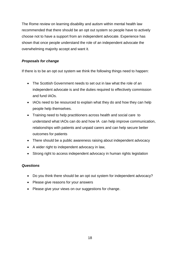The Rome review on learning disability and autism within mental health law recommended that there should be an opt out system so people have to actively choose not to have a support from an independent advocate. Experience has shown that once people understand the role of an independent advocate the overwhelming majority accept and want it.

# *Proposals for change*

If there is to be an opt out system we think the following things need to happen:

- The Scottish Government needs to set out in law what the role of an independent advocate is and the duties required to effectively commission and fund IAOs.
- IAOs need to be resourced to explain what they do and how they can help people help themselves.
- Training need to help practitioners across health and social care to understand what IAOs can do and how IA can help improve communication, relationships with patients and unpaid carers and can help secure better outcomes for patients
- There should be a public awareness raising about independent advocacy
- A wider right to independent advocacy in law,
- Strong right to access independent advocacy in human rights legislation

#### *Questions*

- Do you think there should be an opt out system for independent advocacy?
- Please give reasons for your answers
- Please give your views on our suggestions for change.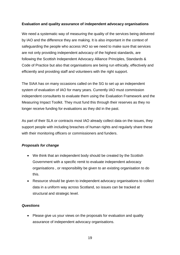### <span id="page-21-0"></span>**Evaluation and quality assurance of independent advocacy organisations**

We need a systematic way of measuring the quality of the services being delivered by IAO and the difference they are making. It is also important in the context of safeguarding the people who access IAO so we need to make sure that services are not only providing independent advocacy of the highest standards, are following the Scottish Independent Advocacy Alliance [Principles, Standards](https://www.siaa.org.uk/wp-content/uploads/2021/02/SIAA-Principles-Final-2nd-print-run-with-ISBN.pdf) & [Code of Practice](https://www.siaa.org.uk/wp-content/uploads/2021/02/SIAA-Principles-Final-2nd-print-run-with-ISBN.pdf) but also that organisations are being run ethically, effectively and efficiently and providing staff and volunteers with the right support.

The SIAA has on many occasions called on the SG to set up an independent system of evaluation of IAO for many years. Currently IAO must commission independent consultants to evaluate them using the [Evaluation Framework](https://www.siaa.org.uk/information-hub/independent-advocacy-an-evaluation-framework/) and the [Measuring Impact Toolkit.](https://www.siaa.org.uk/wp-content/uploads/2021/02/SIAA_Measuring_Impact_Toolkit.pdf) They must fund this through their reserves as they no longer receive funding for evaluations as they did in the past.

As part of their SLA or contracts most IAO already collect data on the issues, they support people with including breaches of human rights and regularly share these with their monitoring officers or commissioners and funders.

# *Proposals for change*

- We think that an independent body should be created by the Scottish Government with a specific remit to evaluate independent advocacy organisations , or responsibility be given to an existing organisation to do this.
- Resource should be given to independent advocacy organisations to collect data in a uniform way across Scotland, so issues can be tracked at structural and strategic level.

#### *Questions*

• Please give us your views on the proposals for evaluation and quality assurance of independent advocacy organisations.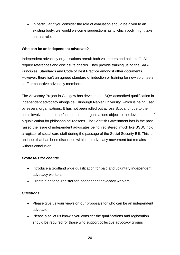• In particular if you consider the role of evaluation should be given to an existing body, we would welcome suggestions as to which body might take on that role.

#### <span id="page-22-0"></span>**Who can be an independent advocate?**

Independent advocacy organisations recruit both volunteers and paid staff . All require references and disclosure checks. They provide training using the SIAA Principles, Standards and Code of Best Practice amongst other documents. However, there isn't an agreed standard of induction or training for new volunteers, staff or collective advocacy members.

The Advocacy Project in Glasgow has developed a SQA accredited qualification in independent advocacy alongside Edinburgh Napier University, which is being used by several organisations. It has not been rolled out across Scotland, due to the costs involved and to the fact that some organisations object to the development of a qualification for philosophical reasons. The Scottish Government has in the past raised the issue of independent advocates being 'registered' much like SSSC hold a register of social care staff during the passage of the Social Security Bill. This is an issue that has been discussed within the advocacy movement but remains without conclusion.

#### *Proposals for change*

- Introduce a Scotland wide qualification for paid and voluntary independent advocacy workers
- Create a national register for independent advocacy workers

#### *Questions*

- Please give us your views on our proposals for who can be an independent advocate.
- Please also let us know if you consider the qualifications and registration should be required for those who support collective advocacy groups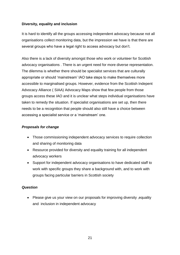# <span id="page-23-0"></span>**Diversity, equality and inclusion**

It is hard to identify all the groups accessing independent advocacy because not all organisations collect monitoring data, but the impression we have is that there are several groups who have a legal right to access advocacy but don't.

Also there is a lack of diversity amongst those who work or volunteer for Scottish advocacy organisations . There is an urgent need for more diverse representation. The dilemma is whether there should be specialist services that are culturally appropriate or should 'mainstream' IAO take steps to make themselves more accessible to marginalised groups. However, evidence from the Scottish Indepent Advocacy Alliance ( SIAA) [Advocacy Maps](https://www.siaa.org.uk/wp-content/uploads/2021/02/SIAA_Advocacy_Map_2015-16-1.pdf) show that few people from those groups access these IAO and it is unclear what steps individual organisations have taken to remedy the situation. If specialist organisations are set up, then there needs to be a recognition that people should also still have a choice between accessing a specialist service or a 'mainstream' one.

# *Proposals for change*

- Those commissioning independent advocacy services to require collection and sharing of monitoring data
- Resource provided for diversity and equality training for all independent advocacy workers
- Support for independent advocacy organisations to have dedicated staff to work with specific groups they share a background with, and to work with groups facing particular barriers in Scottish society

#### *Question*

 Please give us your view on our proposals for improving diversity ,equality and inclusion in independent advocacy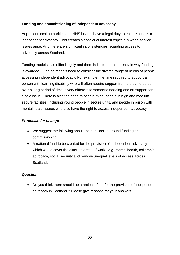# <span id="page-24-0"></span>**Funding and commissioning of independent advocacy**

At present local authorities and NHS boards have a legal duty to ensure access to independent advocacy. This creates a conflict of interest especially when service issues arise. And there are significant inconsistencies regarding access to advocacy across Scotland.

Funding models also differ hugely and there is limited transparency in way funding is awarded. Funding models need to consider the diverse range of needs of people accessing independent advocacy. For example, the time required to support a person with learning disability who will often require support from the same person over a long period of time is very different to someone needing one off support for a single issue. There is also the need to bear in mind people in high and medium secure facilities, including young people in secure units, and people in prison with mental health issues who also have the right to access independent advocacy.

# *Proposals for change*

- We suggest the following should be considered around funding and commissioning
- A national fund to be created for the provision of independent advocacy which would cover the different areas of work –e.g. mental health, children's advocacy, social security and remove unequal levels of access across Scotland.

#### *Question*

 Do you think there should be a national fund for the provision of independent advocacy in Scotland ? Please give reasons for your answers.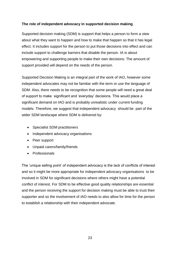# <span id="page-25-0"></span>**The role of independent advocacy in supported decision making**

Supported decision making (SDM) is support that helps a person to form a view about what they want to happen and how to make that happen so that it has legal effect. It includes support for the person to put those decisions into effect and can include support to challenge barriers that disable the person. IA is about empowering and supporting people to make their own decisions. The amount of support provided will depend on the needs of the person.

Supported Decision Making is an integral part of the work of IAO, however some independent advocates may not be familiar with the term or use the language of SDM. Also, there needs to be recognition that some people will need a great deal of support to make significant and 'everyday' decisions. This would place a significant demand on IAO and is probably unrealistic under current funding models. Therefore, we suggest that independent advocacy should be part of the wider SDM landscape where SDM is delivered by:

- Specialist SDM practitioners
- Independent advocacy organisations
- Peer support
- Unpaid carers/family/friends
- Professionals

The 'unique selling point' of independent advocacy is the lack of conflicts of interest and so it might be more appropriate for independent advocacy organisations to be involved in SDM for significant decisions where others might have a potential conflict of interest. For SDM to be effective good quality relationships are essential and the person receiving the support for decision making must be able to trust their supporter and so the involvement of IAO needs to also allow for time for the person to establish a relationship with their independent advocate.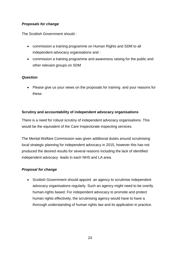# *Proposals for change*

The Scottish Government should -

- commission a training programme on Human Rights and SDM to all independent advocacy organisations and :
- commission a training programme and awareness raising for the public and other relevant groups on SDM

#### *Question*

• Please give us your views on the proposals for training and your reasons for these.

# <span id="page-26-0"></span>**Scrutiny and accountability of independent advocacy organisations**

There is a need for robust scrutiny of independent advocacy organisations. This would be the equivalent of the Care Inspectorate inspecting services.

The Mental Welfare Commission was given additional duties around scrutinising local strategic planning for independent advocacy in 2015, however this has not produced the desired results for several reasons including the lack of identified independent advocacy leads in each NHS and LA area.

#### *Proposal for change*

• Scottish Government should appoint an agency to scrutinise independent advocacy organisations regularly. Such an agency might need to be overtly human-rights based. For independent advocacy to promote and protect human rights effectively, the scrutinising agency would have to have a thorough understanding of human rights law and its application in practice.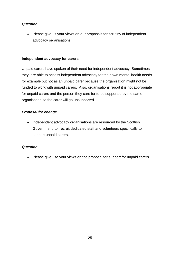#### *Question*

• Please give us your views on our proposals for scrutiny of independent advocacy organisations.

#### <span id="page-27-0"></span>**Independent advocacy for carers**

Unpaid carers have spoken of their need for independent advocacy. Sometimes they are able to access independent advocacy for their own mental health needs for example but not as an unpaid carer because the organisation might not be funded to work with unpaid carers. Also, organisations report it is not appropriate for unpaid carers and the person they care for to be supported by the same organisation so the carer will go unsupported .

#### *Proposal for change*

• Independent advocacy organisations are resourced by the Scottish Government to recruit dedicated staff and volunteers specifically to support unpaid carers.

#### *Question*

• Please give use your views on the proposal for support for unpaid carers.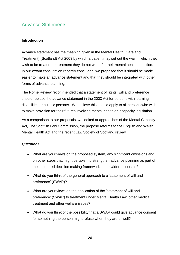# <span id="page-28-0"></span>Advance Statements

#### <span id="page-28-1"></span>**Introduction**

Advance statement has the meaning given in the Mental Health (Care and Treatment) (Scotland) Act 2003 by which a patient may set out the way in which they wish to be treated, or treatment they do not want, for their mental health condition. In our extant consultation recently concluded, we proposed that it should be made easier to make an advance statement and that they should be integrated with other forms of advance planning.

The Rome Review recommended that a statement of rights, will and preference should replace the advance statement in the 2003 Act for persons with learning disabilities or autistic persons. We believe this should apply to all persons who wish to make provision for their futures involving mental health or incapacity legislation.

As a comparison to our proposals, we looked at approaches of the Mental Capacity Act, The Scottish Law Commission, the propose reforms to the English and Welsh Mental Health Act and the recent Law Society of Scotland review.

#### *Questions*

- What are your views on the proposed system, any significant omissions and on other steps that might be taken to strengthen advance planning as part of the supported decision making framework in our wider proposals?
- What do you think of the general approach to a 'statement of will and preference' (SWAP)?
- What are your views on the application of the 'statement of will and preference' (SWAP) to treatment under Mental Health Law, other medical treatment and other welfare issues?
- What do you think of the possibility that a SWAP could give advance consent for something the person might refuse when they are unwell?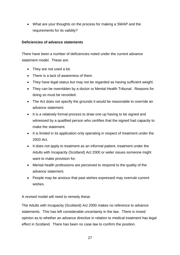What are your thoughts on the process for making a SWAP and the requirements for its validity?

## <span id="page-29-0"></span>**Deficiencies of advance statements**

There have been a number of deficiencies noted under the current advance statement model. These are:

- They are not used a lot.
- There is a lack of awareness of them.
- They have legal status but may not be regarded as having sufficient weight.
- They can be overridden by a doctor or Mental Health Tribunal. Reasons for doing so must be recorded.
- The Act does not specify the grounds it would be reasonable to override an advance statement.
- It is a relatively formal process to draw one up having to be signed and witnessed by a qualified person who certifies that the signed had capacity to make the statement.
- It is limited in its application only operating in respect of treatment under the 2003 Act.
- It does not apply to treatment as an informal patient, treatment under the Adults with Incapacity (Scotland) Act 2000 or wider issues someone might want to make provision for.
- Mental health professions are perceived to respond to the quality of the advance statement.
- People may be anxious that past wishes expressed may overrule current wishes.

A revised model will need to remedy these.

The Adults with Incapacity (Scotland) Act 2000 makes no reference to advance statements. This has left considerable uncertainty in the law. There is mixed opinion as to whether an advance directive in relation to medical treatment has legal effect in Scotland. There has been no case law to confirm the position.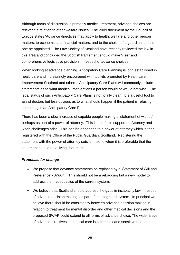Although focus of discussion is primarily medical treatment, advance choices are relevant in relation to other welfare issues. The 2009 document by the Council of Europe states 'Advance directives may apply to health, welfare and other person matters, to economic and financial matters, and to the choice of a guardian, should one be appointed. The Law Society of Scotland have recently reviewed the law in this area and concluded the Scottish Parliament should make 'clear and comprehensive legislative provision' in respect of advance choices.

When looking at advance planning, Anticipatory Care Planning is long established in healthcare and increasingly encouraged with toolkits promoted by Healthcare Improvement Scotland and others. Anticipatory Care Plans will commonly include statements as to what medical interventions a person would or would not wish. The legal status of such Anticipatory Care Plans is not totally clear. It is a useful tool to assist doctors but less obvious as to what should happen if the patient is refusing something in an Anticipatory Care Plan.

There has been a slow increase of capable people making a 'statement of wishes' perhaps as part of a power of attorney. This is helpful to support an Attorney and when challenges arise. This can be appended to a power of attorney which is then registered with the Office of the Public Guardian, Scotland. Registering the statement with the power of attorney sets it in stone when it is preferable that the statement should be a living document.

#### *Proposals for change*

- We propose that advance statements be replaced by a 'Statement of Will and Preference' (SWAP). This should not be a rebadging but a new model to address the inadequacies of the current system.
- We believe that Scotland should address the gaps in incapacity law in respect of advance decision making, as part of an integrated system. In principal we believe there should be consistency between advance decision making in relation to treatment for mental disorder and other medical decisions and the proposed SWAP could extend to all forms of advance choice. The wider issue of advance directives in medical care is a complex and sensitive one, and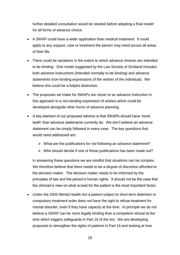further detailed consultation would be needed before adopting a final model for all forms of advance choice.

- A SWAP could have a wider application than medical treatment. It could apply to any support, care or treatment the person may need across all areas of their life.
- There could be variations in the extent to which advance choices are intended to be binding. One model suggested by the Law Society of Scotland includes both advance instructions (intended normally to be binding) and advance statements (non-binding expressions of the wishes of the individual). We believe this could be a helpful distinction.
- The proposals we make for SWAPs are closer to an advance instruction in this approach to a non-binding expression of wishes which could be developed alongside other forms of advance planning.
- A key element of our proposed reforms is that SWAPs should have 'more teeth' than advance statements currently do. We don't believe an advance statement can be simply followed in every case. The key questions that would need addressed are:
	- What are the justifications for *not* following an advance statement?
	- $\triangleright$  Who should decide if one of those justifications has been made out?

In answering these questions we are mindful that situations can be complex. We therefore believe that there needs to be a degree of discretion afforded to the decision maker. The decision maker needs to be informed by the principles of law and the person's human rights. It should not be the case that the clinician's view on what is best for the patient is the most important factor.

 Under the 2003 Mental Health Act a patient subject to short term detention or compulsory treatment order does not have the right to refuse treatment for mental disorder, even if they have capacity at the time. In principle we do not believe a SWAP can be more legally binding than a competent refusal at the time which triggers safeguards in Part 16 of the Act. We are developing proposals to strengthen the rights of patients in Part 16 and looking at how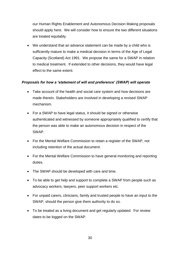our Human Rights Enablement and Autonomous Decision Making proposals should apply here. We will consider how to ensure the two different situations are treated equitably.

 We understand that an advance statement can be made by a child who is sufficiently mature to make a medical decision in terms of the Age of Legal Capacity (Scotland) Act 1991. We propose the same for a SWAP in relation to medical treatment. If extended to other decisions, they would have legal effect to the same extent.

#### *Proposals for how a 'statement of will and preference' (SWAP) will operate*

- Take account of the health and social care system and how decisions are made therein. Stakeholders are involved in developing a revised SWAP mechanism.
- For a SWAP to have legal status, it should be signed or otherwise authenticated and witnessed by someone appropriately qualified to certify that the person was able to make an autonomous decision in respect of the SWAP.
- For the Mental Welfare Commission to retain a register of the SWAP, not including retention of the actual document.
- For the Mental Welfare Commission to have general monitoring and reporting duties.
- The SWAP should be developed with care and time.
- To be able to get help and support to complete a SWAP from people such as advocacy workers, lawyers, peer support workers etc.
- For unpaid carers, clinicians, family and trusted people to have an input to the SWAP, should the person give them authority to do so.
- To be treated as a living document and get regularly updated. For review dates to be logged on the SWAP.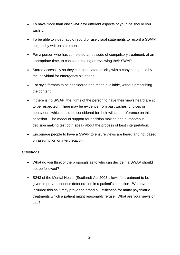- To have more than one SWAP for different aspects of your life should you wish it.
- To be able to video, audio record or use visual statements to record a SWAP, not just by written statement.
- For a person who has completed an episode of compulsory treatment, at an appropriate time, to consider making or reviewing their SWAP.
- Stored accessibly so they can be located quickly with a copy being held by the individual for emergency situations.
- For style formats to be considered and made available, without prescribing the content.
- If there is no SWAP, the rights of the person to have their views heard are still to be respected. There may be evidence from past wishes, choices or behaviours which could be considered for their will and preference on this occasion. The model of support for decision making and autonomous decision making test both speak about the process of best interpretation.
- Encourage people to have a SWAP to ensure views are heard and not based on assumption or interpretation.

#### *Questions*

- What do you think of the proposals as to who can decide if a SWAP should not be followed?
- S243 of the Mental Health (Scotland) Act 2003 allows for treatment to be given to prevent serious deterioration in a patient's condition. We have not included this as it may prove too broad a justification for many psychiatric treatments which a patient might reasonably refuse. What are your views on this?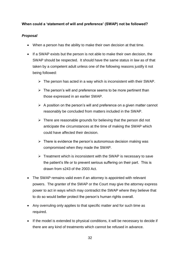# <span id="page-34-0"></span>**When could a 'statement of will and preference' (SWAP) not be followed?**

# *Proposal*

- When a person has the ability to make their own decision at that time.
- If a SWAP exists but the person is not able to make their own decision, the SWAP should be respected. It should have the same status in law as of that taken by a competent adult unless one of the following reasons justify it not being followed:
	- $\triangleright$  The person has acted in a way which is inconsistent with their SWAP.
	- $\triangleright$  The person's will and preference seems to be more pertinent than those expressed in an earlier SWAP.
	- $\triangleright$  A position on the person's will and preference on a given matter cannot reasonably be concluded from matters included in the SWAP.
	- $\triangleright$  There are reasonable grounds for believing that the person did not anticipate the circumstances at the time of making the SWAP which could have affected their decision.
	- $\triangleright$  There is evidence the person's autonomous decision making was compromised when they made the SWAP.
	- $\triangleright$  Treatment which is inconsistent with the SWAP is necessary to save the patient's life or to prevent serious suffering on their part. This is drawn from s243 of the 2003 Act.
- The SWAP remains valid even if an attorney is appointed with relevant powers. The granter of the SWAP or the Court may give the attorney express power to act in ways which may contradict the SWAP where they believe that to do so would better protect the person's human rights overall.
- Any overruling only applies to that specific matter and for such time as required.
- If the model is extended to physical conditions, it will be necessary to decide if there are any kind of treatments which cannot be refused in advance.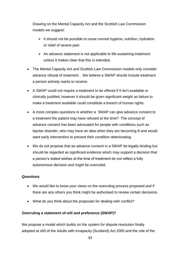Drawing on the Mental Capacity Act and the Scottish Law Commission models we suggest:

- $\triangleright$  It should not be possible to reuse normal hygiene, nutrition, hydration or relief of severe pain
- $\triangleright$  An advance statement is not applicable to life-sustaining treatment unless it makes clear that this is intended.
- The Mental Capacity Act and Scottish Law Commission models only consider advance refusal of treatment . We believe a SWAP should include treatment a person actively wants to receive.
- A SWAP could not require a treatment to be offered if it isn't available or clinically justified, however it should be given significant weight as failure to make a treatment available could constitute a breach of human rights.
- A more complex questions is whether a SWAP can give advance consent to a treatment the patient may have refused at the time? The concept of advance consent has been advocated for people with conditions such as bipolar disorder, who may have an idea when they are becoming ill and would want early intervention to prevent their condition deteriorating.
- We do not propose that an advance consent in a SWAP be legally binding but should be regarded as significant evidence which may support a decision that a person's stated wishes at the time of treatment do not reflect a fully autonomous decision and might be overruled.

#### *Questions*

- We would like to know your views on the overruling process proposed and if there are any others you think might be authorised to review certain decisions.
- What do you think about the proposals for dealing with conflict?

# <span id="page-35-0"></span>**Overruling a statement of will and preference (SWAP)?**

We propose a model which builds on the system for dispute resolution finally adopted at s50 of the Adults with Incapacity (Scotland) Act 2000 and the role of the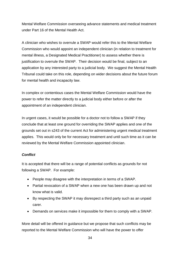Mental Welfare Commission overseeing advance statements and medical treatment under Part 16 of the Mental Health Act.

A clinician who wishes to overrule a SWAP would refer this to the Mental Welfare Commission who would appoint an independent clinician (in relation to treatment for mental illness, a Designated Medical Practitioner) to assess whether there is justification to overrule the SWAP. Their decision would be final, subject to an application by any interested party to a judicial body. We suggest the Mental Health Tribunal could take on this role, depending on wider decisions about the future forum for mental health and incapacity law.

In complex or contentious cases the Mental Welfare Commission would have the power to refer the matter directly to a judicial body either before or after the appointment of an independent clinician.

In urgent cases, it would be possible for a doctor not to follow a SWAP if they conclude that at least one ground for overriding the SWAP applies and one of the grounds set out in s243 of the current Act for administering urgent medical treatment applies. This would only be for necessary treatment and until such time as it can be reviewed by the Mental Welfare Commission appointed clinician.

#### *Conflict*

It is accepted that there will be a range of potential conflicts as grounds for not following a SWAP. For example:

- People may disagree with the interpretation in terms of a SWAP.
- Partial revocation of a SWAP when a new one has been drawn up and not know what is valid.
- By respecting the SWAP it may disrespect a third party such as an unpaid carer.
- Demands on services make it impossible for them to comply with a SWAP.

More detail will be offered in guidance but we propose that such conflicts may be reported to the Mental Welfare Commission who will have the power to offer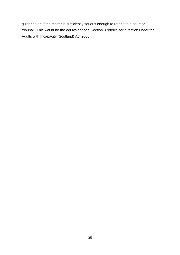guidance or, if the matter is sufficiently serious enough to refer it to a court or tribunal. This would be the equivalent of a Section 3 referral for direction under the Adults with Incapacity (Scotland) Act 2000.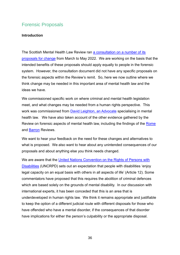# <span id="page-38-0"></span>Forensic Proposals

#### <span id="page-38-1"></span>**Introduction**

The Scottish Mental Health Law Review ran a consultation on a number of its [proposals for change](https://www.mentalhealthlawreview.scot/workstreams/scottish-mental-health-law-review-consultation/) from March to May 2022. We are working on the basis that the intended benefits of these proposals should apply equally to people in the forensic system. However, the consultation document did not have any specific proposals on the forensic aspects within the Review's remit. So, here we now outline where we think change may be needed in this important area of mental health law and the ideas we have.

We commissioned specific work on where criminal and mental health legislation meet, and what changes may be needed from a human rights perspective. This work was commissioned from [David Leighton, an Advocate](https://www.themis-advocates.co.uk/advocates/all/David+Leighton) specialising in mental health law. We have also taken account of the other evidence gathered by the Review on forensic aspects of mental health law, including the findings of the [Rome](https://webarchive.nrscotland.gov.uk/20200313205853/https:/www.irmha.scot/) and [Barron](https://www.gov.scot/groups/forensic-mental-health-services-independent-review/) Reviews.

We want to hear your feedback on the need for these changes and alternatives to what is proposed. We also want to hear about any unintended consequences of our proposals and about anything else you think needs changed.

We are aware that the United Nations Convention on the Rights of Persons with [Disabilities](https://www.ohchr.org/en/instruments-mechanisms/instruments/convention-rights-persons-disabilities) (UNCRPD) sets out an expectation that people with disabilities 'enjoy legal capacity on an equal basis with others in all aspects of life' (Article 12). Some commentators have proposed that this requires the abolition of criminal defences which are based solely on the grounds of mental disability. In our discussion with international experts, it has been conceded that this is an area that is underdeveloped in human rights law. We think it remains appropriate and justifiable to keep the option of a different judicial route with different disposals for those who have offended who have a mental disorder, if the consequences of that disorder have implications for either the person's culpability or the appropriate disposal.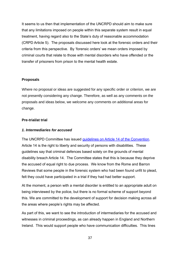It seems to us then that implementation of the UNCRPD should aim to make sure that any limitations imposed on people within this separate system result in equal treatment, having regard also to the State's duty of reasonable accommodation (CRPD Article 5). The proposals discussed here look at the forensic orders and their criteria from this perspective. By 'forensic orders' we mean orders imposed by criminal courts that relate to those with mental disorders who have offended or the transfer of prisoners from prison to the mental health estate.

#### <span id="page-39-0"></span>**Proposals**

Where no proposal or ideas are suggested for any specific order or criterion, we are not presently considering any change. Therefore, as well as any comments on the proposals and ideas below, we welcome any comments on additional areas for change.

#### <span id="page-39-1"></span>**Pre-trial/at trial**

#### *1. Intermediaries for accused*

The UNCRPD Committee has issued [guidelines on Article 14 of the Convention.](https://www.ohchr.org/en/documents/reports/a7255-report-committee-rights-persons-disabilities-13th-through-16th-sessions) Article 14 is the right to liberty and security of persons with disabilities. These guidelines say that criminal defences based solely on the grounds of mental disability breach Article 14. The Committee states that this is because they deprive the accused of equal right to due process. We know from the Rome and Barron Reviews that some people in the forensic system who had been found unfit to plead, felt they could have participated in a trial if they had had better support.

At the moment, a person with a mental disorder is entitled to an appropriate adult on being interviewed by the police, but there is no formal scheme of support beyond this. We are committed to the development of support for decision making across all the areas where people's rights may be affected.

As part of this, we want to see the introduction of intermediaries for the accused and witnesses in criminal proceedings, as can already happen in England and Northern Ireland. This would support people who have communication difficulties. This lines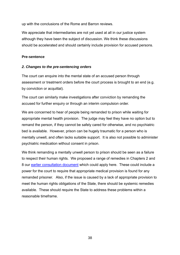up with the conclusions of the Rome and Barron reviews.

We appreciate that intermediaries are not yet used at all in our justice system although they have been the subject of discussion. We think these discussions should be accelerated and should certainly include provision for accused persons.

#### <span id="page-40-0"></span>**Pre-sentence**

#### *2. Changes to the pre-sentencing orders*

The court can enquire into the mental state of an accused person through assessment or treatment orders before the court process is brought to an end (e.g. by conviction or acquittal).

The court can similarly make investigations after conviction by remanding the accused for further enquiry or through an interim compulsion order.

We are concerned to hear of people being remanded to prison while waiting for appropriate mental health provision. The judge may feel they have no option but to remand the person, if they cannot be safely cared for otherwise, and no psychiatric bed is available. However, prison can be hugely traumatic for a person who is mentally unwell, and often lacks suitable support. It is also not possible to administer psychiatric medication without consent in prison.

We think remanding a mentally unwell person to prison should be seen as a failure to respect their human rights. We proposed a range of remedies in Chapters 2 and 8 our [earlier consultation document](https://www.mentalhealthlawreview.scot/workstreams/scottish-mental-health-law-review-consultation/) which could apply here. These could include a power for the court to require that appropriate medical provision is found for any remanded prisoner. Also, if the issue is caused by a lack of appropriate provision to meet the human rights obligations of the State, there should be systemic remedies available. These should require the State to address these problems within a reasonable timeframe.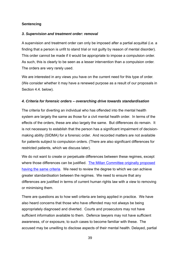### <span id="page-41-0"></span>**Sentencing**

#### *3. Supervision and treatment order: removal*

A supervision and treatment order can only be imposed after a partial acquittal (i.e. a finding that a person is unfit to stand trial or not guilty by reason of mental disorder). This order cannot be made if it would be appropriate to impose a compulsion order. As such, this is clearly to be seen as a lesser intervention than a compulsion order. The orders are very rarely used.

We are interested in any views you have on the current need for this type of order. (We consider whether it may have a renewed purpose as a result of our proposals in Section 4.4. below).

#### *4. Criteria for forensic orders – overarching drive towards standardisation*

The criteria for diverting an individual who has offended into the mental health system are largely the same as those for a civil mental health order. In terms of the effects of the orders, these are also largely the same. But differences do remain. It is not necessary to establish that the person has a significant impairment of decisionmaking ability (SIDMA) for a forensic order. And recorded matters are not available for patients subject to compulsion orders. (There are also significant differences for restricted patients, which we discuss later).

We do not want to create or perpetuate differences between these regimes, except where those differences can be justified. The Millan Committee originally proposed [having the same criteria.](https://www.mhtscotland.gov.uk/mhts/files/Millan_Report_New_Directions.pdf) We need to review the degree to which we can achieve greater standardisation between the regimes. We need to ensure that any differences are justified in terms of current human rights law with a view to removing or minimising them.

There are questions as to how well criteria are being applied in practice. We have also heard concerns that those who have offended may not always be being appropriately diagnosed and diverted. Courts and prosecutors may not have sufficient information available to them. Defence lawyers may not have sufficient awareness, of or exposure, to such cases to become familiar with these. The accused may be unwilling to disclose aspects of their mental health. Delayed, partial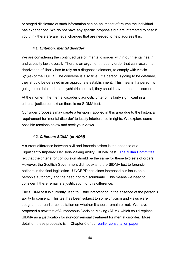or staged disclosure of such information can be an impact of trauma the individual has experienced. We do not have any specific proposals but are interested to hear if you think there are any legal changes that are needed to help address this.

#### *4.1. Criterion: mental disorder*

We are considering the continued use of 'mental disorder' within our mental health and capacity laws overall. There is an argument that any order that can result in a deprivation of liberty has to rely on a diagnostic element, to comply with Article 5(1)(e) of the ECHR. The converse is also true. If a person is going to be detained, they should be detained in an appropriate establishment. This means if a person is going to be detained in a psychiatric hospital, they should have a mental disorder.

At the moment the mental disorder diagnostic criterion is fairly significant in a criminal justice context as there is no SIDMA test.

Our wider proposals may create a tension if applied in this area due to the historical requirement for 'mental disorder' to justify interference in rights. We explore some possible tensions below and seek your views.

#### *4.2. Criterion: SIDMA (or ADM)*

A current difference between civil and forensic orders is the absence of a Significantly Impaired Decision-Making Ability (SIDMA) test. [The Millan Committee](https://www.mhtscotland.gov.uk/mhts/files/Millan_Report_New_Directions.pdf) felt that the criteria for compulsion should be the same for these two sets of orders. However, the Scottish Government did not extend the SIDMA test to forensic patients in the final legislation. UNCRPD has since increased our focus on a person's autonomy and the need not to discriminate. This means we need to consider if there remains a justification for this difference.

The SIDMA test is currently used to justify intervention in the absence of the person's ability to consent. This test has been subject to some criticism and views were sought in our earlier consultation on whether it should remain or not. We have proposed a new test of Autonomous Decision Making (ADM), which could replace SIDMA as a justification for non-consensual treatment for mental disorder. More detail on these proposals is in Chapter 6 of our [earlier consultation paper.](https://www.mentalhealthlawreview.scot/workstreams/scottish-mental-health-law-review-consultation/)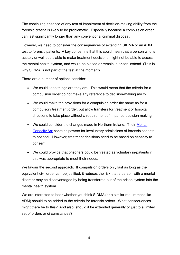The continuing absence of any test of impairment of decision-making ability from the forensic criteria is likely to be problematic. Especially because a compulsion order can last significantly longer than any conventional criminal disposal.

However, we need to consider the consequences of extending SIDMA or an ADM test to forensic patients. A key concern is that this could mean that a person who is acutely unwell but is able to make treatment decisions might not be able to access the mental health system, and would be placed or remain in prison instead. (This is why SIDMA is not part of the test at the moment).

There are a number of options consider:

- We could keep things are they are. This would mean that the criteria for a compulsion order do not make any reference to decision-making ability.
- We could make the provisions for a compulsion order the same as for a compulsory treatment order, but allow transfers for treatment or hospital directions to take place without a requirement of impaired decision making.
- We could consider the changes made in Northern Ireland. Their Mental [Capacity Act](https://www.legislation.gov.uk/nia/2016/18/contents/enacted) contains powers for involuntary admissions of forensic patients to hospital. However, treatment decisions need to be based on capacity to consent.
- We could provide that prisoners could be treated as voluntary in-patients if this was appropriate to meet their needs.

We favour the second approach. If compulsion orders only last as long as the equivalent civil order can be justified, it reduces the risk that a person with a mental disorder may be disadvantaged by being transferred out of the prison system into the mental health system.

We are interested to hear whether you think SIDMA (or a similar requirement like ADM) should to be added to the criteria for forensic orders. What consequences might there be to this? And also, should it be extended generally or just to a limited set of orders or circumstances?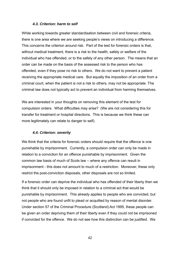#### *4.3. Criterion: harm to self*

While working towards greater standardisation between civil and forensic criteria, there is one area where we are seeking people's views on introducing a difference. This concerns the criterion around risk. Part of the test for forensic orders is that, without medical treatment, there is a risk to the health, safety or welfare of the individual who has offended, or to the safety of any other person. The means that an order can be made on the basis of the assessed risk to the person who has offended, even if they pose no risk to others. We do not want to prevent a patient receiving the appropriate medical care. But equally the imposition of an order from a criminal court, when the patient is not a risk to others, may not be appropriate. The criminal law does not typically act to prevent an individual from harming themselves.

We are interested in your thoughts on removing this element of the test for compulsion orders. What difficulties may arise? (We are not considering this for transfer for treatment or hospital directions. This is because we think these can more legitimately can relate to danger to self).

#### *4.4. Criterion: severity*

We think that the criteria for forensic orders should require that the offence is one punishable by imprisonment. Currently, a compulsion order can only be made in relation to a conviction for an offence punishable by imprisonment. Given the common law basis of much of Scots law – where any offence can result in imprisonment - this does not amount to much of a restriction. Moreover, these only restrict the post-conviction disposals, other disposals are not so limited.

If a forensic order can deprive the individual who has offended of their liberty then we think that it should only be imposed in relation to a criminal act that would be punishable by imprisonment. This already applies to people who are convicted, but not people who are found unfit to plead or acquitted by reason of mental disorder. Under section 57 of the Criminal Procedure (Scotland) Act 1995, these people can be given an order depriving them of their liberty even if they could not be imprisoned if convicted for the offence. We do not see how this distinction can be justified. We

42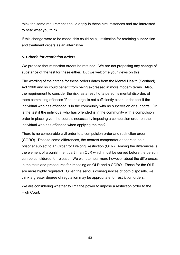think the same requirement should apply in these circumstances and are interested to hear what you think.

If this change were to be made, this could be a justification for retaining supervision and treatment orders as an alternative.

#### *5. Criteria for restriction orders*

We propose that restriction orders be retained. We are not proposing any change of substance of the test for these either. But we welcome your views on this.

The wording of the criteria for these orders dates from the Mental Health (Scotland) Act 1960 and so could benefit from being expressed in more modern terms. Also, the requirement to consider the risk, as a result of a person's mental disorder, of them committing offences 'if set at large' is not sufficiently clear. Is the test if the individual who has offended is in the community with no supervision or supports. Or is the test if the individual who has offended is in the community with a compulsion order in place given the court is necessarily imposing a compulsion order on the individual who has offended when applying the test?

There is no comparable civil order to a compulsion order and restriction order (CORO). Despite some differences, the nearest comparator appears to be a prisoner subject to an Order for Lifelong Restriction (OLR). Among the differences is the element of a punishment part in an OLR which must be served before the person can be considered for release. We want to hear more however about the differences in the tests and procedures for imposing an OLR and a CORO. Those for the OLR are more highly regulated. Given the serious consequences of both disposals, we think a greater degree of regulation may be appropriate for restriction orders.

We are considering whether to limit the power to impose a restriction order to the High Court.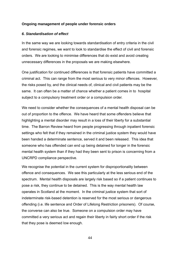#### <span id="page-46-0"></span>**Ongoing management of people under forensic orders**

#### *6. Standardisation of effect*

In the same way we are looking towards standardisation of entry criteria in the civil and forensic regimes, we want to look to standardise the effect of civil and forensic orders. We are looking to minimise differences that do exist and avoid creating unnecessary differences in the proposals we are making elsewhere.

One justification for continued differences is that forensic patients have committed a criminal act. This can range from the most serious to very minor offences. However, the risks posed by, and the clinical needs of, clinical and civil patients may be the same. It can often be a matter of chance whether a patient comes in to hospital subject to a compulsory treatment order or a compulsion order.

We need to consider whether the consequences of a mental health disposal can be out of proportion to the offence. We have heard that some offenders believe that highlighting a mental disorder may result in a loss of their liberty for a substantial time. The Barron Review heard from people progressing through inpatient forensic settings who felt that if they remained in the criminal justice system they would have been handed a determinate sentence, served it and been released. This idea that someone who has offended can end up being detained for longer in the forensic mental health system than if they had they been sent to prison is concerning from a UNCRPD compliance perspective.

We recognise the potential in the current system for disproportionality between offence and consequences. We see this particularly at the less serious end of the spectrum. Mental health disposals are largely risk based so if a patient continues to pose a risk, they continue to be detained. This is the way mental health law operates in Scotland at the moment. In the criminal justice system that sort of indeterminate risk-based detention is reserved for the most serious or dangerous offending (i.e. life sentence and Order of Lifelong Restriction prisoners). Of course, the converse can also be true. Someone on a compulsion order may have committed a very serious act and regain their liberty in fairly short order if the risk that they pose is deemed low enough.

44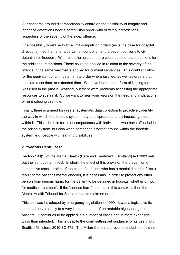Our concerns around disproportionality centre on the possibility of lengthy and indefinite detention under a compulsion order (with or without restrictions), regardless of the severity of the index offence.

One possibility would be to time limit compulsion orders (as is the case for hospital directions) – so that, after a certain amount of time, the patient converts to civil detention or freedom. With restriction orders, there could be time related options for the additional restrictions. These could be applied in relation to the severity of the offence in the same way that is applied for criminal sentences. This could still allow for the equivalent of an indeterminate order where justified, as well as orders that stipulate a set time, or extended time. We have heard that a form of limiting term was used in the past in Scotland, but there were problems accessing the appropriate resources to sustain it. So we want to hear your views on the need and implications of reintroducing this now.

Finally, there is a need for greater systematic data collection to proactively identify the way in which the forensic system may be disproportionately impacting those within it. This is both in terms of comparisons with individuals who have offended in the prison system, but also when comparing different groups within the forensic system, e.g. people with learning disabilities.

#### *7. "Serious Harm" Test*

Section 193(2) of the Mental Health (Care and Treatment) (Scotland) Act 2003 sets out the 'serious harm' test. In short, the effect of this provision the prevention of substantive consideration of the case of a patient who has a mental disorder if "as a result of the patient's mental disorder, it is necessary, in order to protect any other person from serious harm, for the patient to be detained in hospital, whether or not for medical treatment". If the "serious harm" test met in this context is then the Mental Health Tribunal for Scotland has to make no order.

This test was introduced by emergency legislation in 1999. It was a legislative fix intended only to apply to a very limited number of untreatable highly dangerous patients. It continues to be applied in a number of cases and in more expansive ways than intended. This is despite the court setting out guidance for its use in B v. Scottish Ministers, 2010 SC 472. The Millan Committee recommended it should not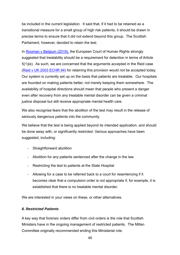be included in the current legislation. It said that, if it had to be retained as a transitional measure for a small group of high risk patients, it should be drawn in precise terms to ensure that it did not extend beyond this group. The Scottish Parliament, however, decided to retain the test.

In [Rooman v Belgium \(2019\),](https://hudoc.echr.coe.int/eng#{%22itemid%22:[%22001-189902%22]}) the European Court of Human Rights strongly suggested that treatability should be a requirement for detention in terms of Article 5(1)(e). As such, we are concerned that the arguments accepted in the Reid case [\(Reid v UK 2003 ECHR 94\)](https://www.globalhealthrights.org/wp-content/uploads/2014/07/CASE-OF-HUTCHISON-REID-v.-THE-UNITED-KINGDOM-1.pdf) for retaining this provision would not be accepted today. Our system is currently set up on the basis that patients are treatable. Our hospitals are founded on making patients better, not merely keeping them somewhere. The availability of hospital directions should mean that people who present a danger even after recovery from any treatable mental disorder can be given a criminal justice disposal but still receive appropriate mental health care.

We also recognise fears that the abolition of the test may result in the release of seriously dangerous patients into the community.

We believe that the test is being applied beyond its intended application, and should be done away with, or significantly restricted. Various approaches have been suggested, including:

- Straightforward abolition
- Abolition for any patients sentenced after the change in the law
- Restricting the test to patients at the State Hospital
- Allowing for a case to be referred back to a court for resentencing if it becomes clear that a compulsion order is not appropriate if, for example, it is established that there is no treatable mental disorder.

We are interested in your views on these, or other alternatives.

#### *8. Restricted Patients*

A key way that forensic orders differ from civil orders is the role that Scottish Ministers have in the ongoing management of restricted patients. The Millan Committee originally recommended ending this Ministerial role.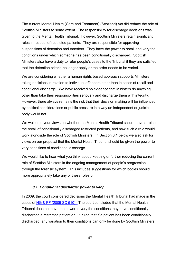The current Mental Health (Care and Treatment) (Scotland) Act did reduce the role of Scottish Ministers to some extent. The responsibility for discharge decisions was given to the Mental Health Tribunal. However, Scottish Ministers retain significant roles in respect of restricted patients. They are responsible for approving suspensions of detention and transfers. They have the power to recall and vary the conditions under which someone has been conditionally discharged. Scottish Ministers also have a duty to refer people's cases to the Tribunal if they are satisfied that the detention criteria no longer apply or the order needs to be varied.

We are considering whether a human rights based approach supports Ministers taking decisions in relation to individual offenders other than in cases of recall and conditional discharge. We have received no evidence that Ministers do anything other than take their responsibilities seriously and discharge them with integrity. However, there always remains the risk that their decision making will be influenced by political considerations or public pressure in a way an independent or judicial body would not.

We welcome your views on whether the Mental Health Tribunal should have a role in the recall of conditionally discharged restricted patients, and how such a role would work alongside the role of Scottish Ministers. In Section 8.1 below we also ask for views on our proposal that the Mental Health Tribunal should be given the power to vary conditions of conditional discharge.

We would like to hear what you think about keeping or further reducing the current role of Scottish Ministers in the ongoing management of people's progression through the forensic system. This includes suggestions for which bodies should more appropriately take any of these roles on.

#### *8.1. Conditional discharge: power to vary*

In 2009, the court considered decisions the Mental Health Tribunal had made in the cases of [NG & PF \(2009 SC 510\).](https://www.mhtscotland.gov.uk/mhts/files/Judgements/NG_and_PF.pdf) The court concluded that the Mental Health Tribunal does not have the power to vary the conditions they have conditionally discharged a restricted patient on. It ruled that if a patient has been conditionally discharged, any variation to their conditions can only be done by Scottish Ministers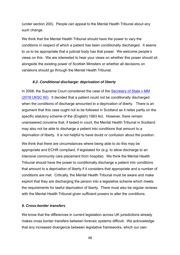(under section 200). People can appeal to the Mental Health Tribunal about any such change.

We think that the Mental Health Tribunal should have the power to vary the conditions in respect of which a patient has been conditionally discharged. It seems to us to be appropriate that a judicial body has that power. We welcome people's views on this. We are interested to hear your views on whether this power should sit alongside the existing power of Scottish Ministers or whether all decisions on variations should go through the Mental Health Tribunal.

#### *8.2. Conditional discharge: deprivation of liberty*

In 2008, the Supreme Court considered the case of the Secretary of State v MM [\(2018 UKSC 60\).](https://www.supremecourt.uk/cases/uksc-2017-0212.html) It decided that a patient could not be conditionally discharged when the conditions of discharge amounted to a deprivation of liberty. There is an argument that this case ought not to be followed in Scotland as it relies partly on the specific statutory scheme of the (English) 1983 Act. However, there remain unanswered concerns that, if tested in court, the Mental Health Tribunal in Scotland may also not be able to discharge a patient into conditions that amount to a deprivation of liberty. It is not helpful to have doubt or confusion about the position.

We think that there are circumstances where being able to do this may be appropriate and ECHR compliant, if legislated for (e.g. to allow discharge to an intensive community care placement from hospital). We think the Mental Health Tribunal should have the power to conditionally discharge a patient into conditions that amount to a deprivation of liberty if it considers that appropriate and a number of conditions are met. Critically, the Mental Health Tribunal must be aware and make explicit that they are discharging the person into a legislative scheme which meets the requirements for lawful deprivation of liberty. There must also be regular reviews with the Mental Health Tribunal given sufficient powers to alter the conditions.

#### *9. Cross-border transfers*

We know that the differences in current legislation across UK jurisdictions already makes cross border transfers between forensic systems difficult. We acknowledge that any increased divergence between legislative frameworks, which our own

48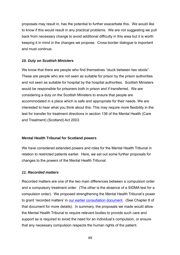proposals may result in, has the potential to further exacerbate this. We would like to know if this would result in any practical problems. We are not suggesting we pull back from necessary change to avoid additional difficulty in this area but it is worth keeping it in mind in the changes we propose. Cross-border dialogue is important and must continue.

#### *10. Duty on Scottish Ministers*

We know that there are people who find themselves "stuck between two stools". These are people who are not seen as suitable for prison by the prison authorities and not seen as suitable for hospital by the hospital authorities. Scottish Ministers would be responsible for prisoners both in prison and if transferred. We are considering a duty on the Scottish Ministers to ensure that people are accommodated in a place which is safe and appropriate for their needs. We are interested to hear what you think about this. This may require more flexibility in the test for transfer for treatment directions in section 136 of the Mental Health (Care and Treatment) (Scotland) Act 2003.

#### <span id="page-51-0"></span>**Mental Health Tribunal for Scotland powers**

We have considered extended powers and roles for the Mental Health Tribunal in relation to restricted patients earlier. Here, we set out some further proposals for changes to the powers of the Mental Health Tribunal.

#### *11. Recorded matters*

Recorded matters are one of the two main differences between a compulsion order and a compulsory treatment order. (The other is the absence of a SIDMA test for a compulsion order). We proposed strengthening the Mental Health Tribunal's power to grant 'recorded matters' in [our earlier consultation document.](https://www.mentalhealthlawreview.scot/workstreams/scottish-mental-health-law-review-consultation/) (See Chapter 8 of that document for more details). In summary, the proposals we made would allow the Mental Health Tribunal to require relevant bodies to provide such care and support as is required to avoid the need for an individual's compulsion, or ensure that any necessary compulsion respects the human rights of the patient.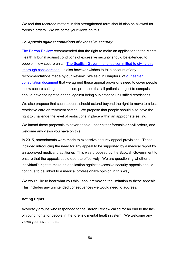We feel that recorded matters in this strengthened form should also be allowed for forensic orders. We welcome your views on this.

#### *12. Appeals against conditions of excessive security*

[The Barron Review](https://www.gov.scot/publications/independent-forensic-mental-health-review-final-report/) recommended that the right to make an application to the Mental Health Tribunal against conditions of excessive security should be extended to people in low secure units. [The Scottish Government has committed to giving this](https://www.gov.scot/publications/scottish-government-response-independent-review-delivery-forensic-mental-health-services/)  ['thorough consideration'.](https://www.gov.scot/publications/scottish-government-response-independent-review-delivery-forensic-mental-health-services/) It also however wishes to take account of any recommendations made by our Review. We said in Chapter 8 of [our earlier](https://www.mentalhealthlawreview.scot/workstreams/scottish-mental-health-law-review-consultation/)  [consultation document](https://www.mentalhealthlawreview.scot/workstreams/scottish-mental-health-law-review-consultation/) that we agreed these appeal provisions need to cover people in low secure settings. In addition, proposed that all patients subject to compulsion should have the right to appeal against being subjected to unjustified restrictions.

We also propose that such appeals should extend beyond the right to move to a less restrictive care or treatment setting. We propose that people should also have the right to challenge the level of restrictions in place within an appropriate setting.

We intend these proposals to cover people under either forensic or civil orders, and welcome any views you have on this.

In 2015, amendments were made to excessive security appeal provisions. These included introducing the need for any appeal to be supported by a medical report by an approved medical practitioner. This was proposed by the Scottish Government to ensure that the appeals could operate effectively. We are questioning whether an individual's right to make an application against excessive security appeals should continue to be linked to a medical professional's opinion in this way.

We would like to hear what you think about removing the limitation to these appeals. This includes any unintended consequences we would need to address.

#### <span id="page-52-0"></span>**Voting rights**

Advocacy groups who responded to the Barron Review called for an end to the lack of voting rights for people in the forensic mental health system. We welcome any views you have on this.

50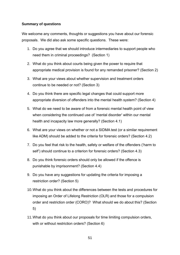# <span id="page-53-0"></span>**Summary of questions**

We welcome any comments, thoughts or suggestions you have about our forensic proposals. We did also ask some specific questions. These were:

- 1. Do you agree that we should introduce intermediaries to support people who need them in criminal proceedings? (Section 1)
- 2. What do you think about courts being given the power to require that appropriate medical provision is found for any remanded prisoner? (Section 2)
- 3. What are your views about whether supervision and treatment orders continue to be needed or not? (Section 3)
- 4. Do you think there are specific legal changes that could support more appropriate diversion of offenders into the mental health system? (Section 4)
- 5. What do we need to be aware of from a forensic mental health point of view when considering the continued use of 'mental disorder' within our mental health and incapacity law more generally? (Section 4.1)
- 6. What are your views on whether or not a SIDMA test (or a similar requirement like ADM) should be added to the criteria for forensic orders? (Section 4.2)
- 7. Do you feel that risk to the health, safety or welfare of the offenders ('harm to self') should continue to a criterion for forensic orders? (Section 4.3)
- 8. Do you think forensic orders should only be allowed if the offence is punishable by imprisonment? (Section 4.4)
- 9. Do you have any suggestions for updating the criteria for imposing a restriction order? (Section 5)
- 10.What do you think about the differences between the tests and procedures for imposing an Order of Lifelong Restriction (OLR) and those for a compulsion order and restriction order (CORO)? What should we do about this? (Section 5)
- 11.What do you think about our proposals for time limiting compulsion orders, with or without restriction orders? (Section 6)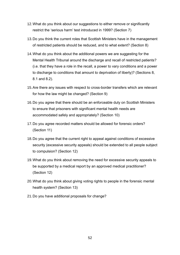- 12.What do you think about our suggestions to either remove or significantly restrict the 'serious harm' test introduced in 1999? (Section 7)
- 13.Do you think the current roles that Scottish Ministers have in the management of restricted patients should be reduced, and to what extent? (Section 8)
- 14.What do you think about the additional powers we are suggesting for the Mental Health Tribunal around the discharge and recall of restricted patients? (i.e. that they have a role in the recall, a power to vary conditions and a power to discharge to conditions that amount to deprivation of liberty)? (Sections 8, 8.1 and 8.2).
- 15.Are there any issues with respect to cross-border transfers which are relevant for how the law might be changed? (Section 9)
- 16.Do you agree that there should be an enforceable duty on Scottish Ministers to ensure that prisoners with significant mental health needs are accommodated safely and appropriately? (Section 10)
- 17.Do you agree recorded matters should be allowed for forensic orders? (Section 11)
- 18.Do you agree that the current right to appeal against conditions of excessive security (excessive security appeals) should be extended to all people subject to compulsion? (Section 12)
- 19.What do you think about removing the need for excessive security appeals to be supported by a medical report by an approved medical practitioner? (Section 12)
- 20.What do you think about giving voting rights to people in the forensic mental health system? (Section 13)
- 21.Do you have additional proposals for change?